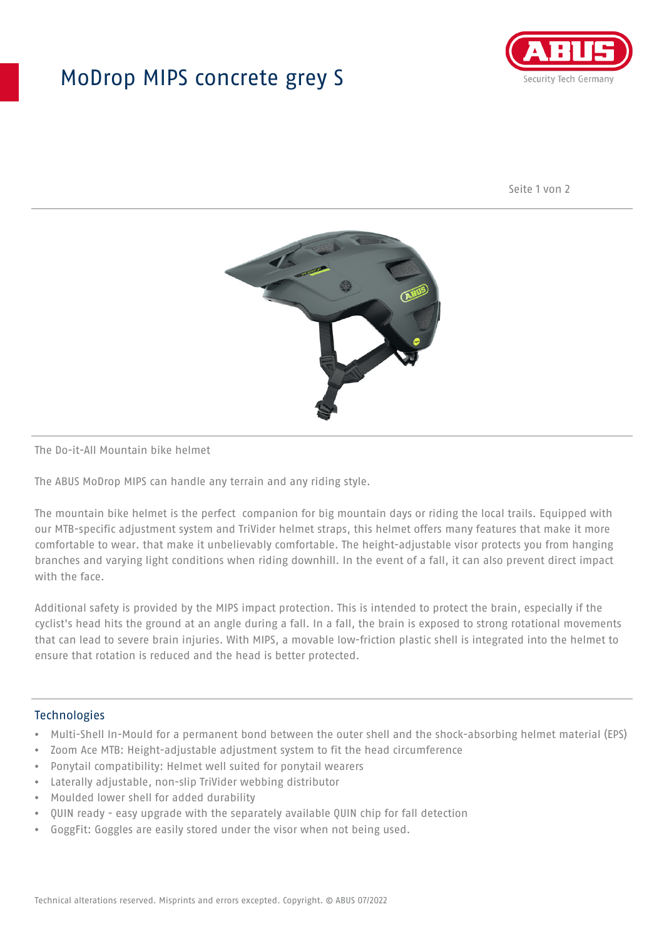## MoDrop MIPS concrete grey S



Seite 1 von 2



#### The Do-it-All Mountain bike helmet

The ABUS MoDrop MIPS can handle any terrain and any riding style.

The mountain bike helmet is the perfect companion for big mountain days or riding the local trails. Equipped with our MTB-specific adjustment system and TriVider helmet straps, this helmet offers many features that make it more comfortable to wear. that make it unbelievably comfortable. The height-adjustable visor protects you from hanging branches and varying light conditions when riding downhill. In the event of a fall, it can also prevent direct impact with the face.

Additional safety is provided by the MIPS impact protection. This is intended to protect the brain, especially if the cyclist's head hits the ground at an angle during a fall. In a fall, the brain is exposed to strong rotational movements that can lead to severe brain injuries. With MIPS, a movable low-friction plastic shell is integrated into the helmet to ensure that rotation is reduced and the head is better protected.

#### **Technologies**

- Multi-Shell In-Mould for a permanent bond between the outer shell and the shock-absorbing helmet material (EPS)
- Zoom Ace MTB: Height-adjustable adjustment system to fit the head circumference
- Ponytail compatibility: Helmet well suited for ponytail wearers
- Laterally adjustable, non-slip TriVider webbing distributor
- Moulded lower shell for added durability
- QUIN ready easy upgrade with the separately available QUIN chip for fall detection
- GoggFit: Goggles are easily stored under the visor when not being used.